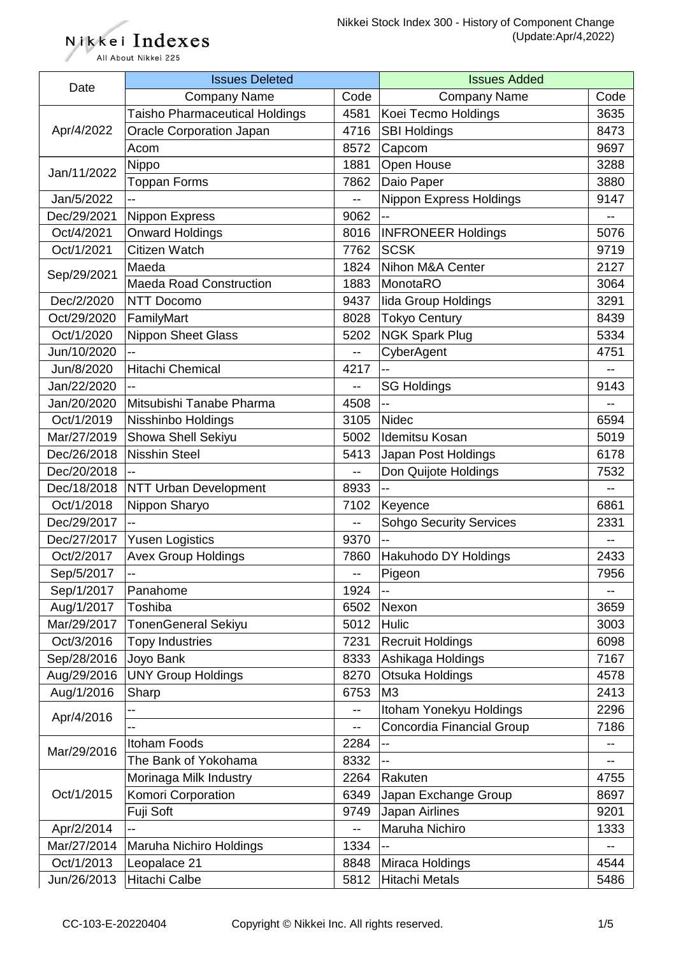Nikkei Indexes All About Nikkei 225

| Date        | <b>Issues Deleted</b>                 |      | <b>Issues Added</b>            |                          |
|-------------|---------------------------------------|------|--------------------------------|--------------------------|
|             | <b>Company Name</b>                   | Code | <b>Company Name</b>            | Code                     |
|             | <b>Taisho Pharmaceutical Holdings</b> | 4581 | Koei Tecmo Holdings            | 3635                     |
| Apr/4/2022  | <b>Oracle Corporation Japan</b>       | 4716 | <b>SBI Holdings</b>            | 8473                     |
|             | Acom                                  | 8572 | Capcom                         | 9697                     |
|             | Nippo                                 | 1881 | Open House                     | 3288                     |
| Jan/11/2022 | <b>Toppan Forms</b>                   | 7862 | Daio Paper                     | 3880                     |
| Jan/5/2022  |                                       |      | <b>Nippon Express Holdings</b> | 9147                     |
| Dec/29/2021 | <b>Nippon Express</b>                 | 9062 |                                |                          |
| Oct/4/2021  | <b>Onward Holdings</b>                | 8016 | <b>INFRONEER Holdings</b>      | 5076                     |
| Oct/1/2021  | Citizen Watch                         | 7762 | <b>SCSK</b>                    | 9719                     |
|             | Maeda                                 | 1824 | Nihon M&A Center               | 2127                     |
| Sep/29/2021 | <b>Maeda Road Construction</b>        | 1883 | MonotaRO                       | 3064                     |
| Dec/2/2020  | <b>NTT Docomo</b>                     | 9437 | lida Group Holdings            | 3291                     |
| Oct/29/2020 | FamilyMart                            | 8028 | <b>Tokyo Century</b>           | 8439                     |
| Oct/1/2020  | <b>Nippon Sheet Glass</b>             | 5202 | <b>NGK Spark Plug</b>          | 5334                     |
| Jun/10/2020 |                                       | $-$  | CyberAgent                     | 4751                     |
| Jun/8/2020  | Hitachi Chemical                      | 4217 |                                | --                       |
| Jan/22/2020 |                                       | --   | <b>SG Holdings</b>             | 9143                     |
| Jan/20/2020 | Mitsubishi Tanabe Pharma              | 4508 | --                             |                          |
| Oct/1/2019  | Nisshinbo Holdings                    | 3105 | <b>Nidec</b>                   | 6594                     |
| Mar/27/2019 | Showa Shell Sekiyu                    | 5002 | Idemitsu Kosan                 | 5019                     |
| Dec/26/2018 | <b>Nisshin Steel</b>                  | 5413 | Japan Post Holdings            | 6178                     |
| Dec/20/2018 |                                       | --   | Don Quijote Holdings           | 7532                     |
| Dec/18/2018 | <b>NTT Urban Development</b>          | 8933 |                                |                          |
| Oct/1/2018  | Nippon Sharyo                         | 7102 | Keyence                        | 6861                     |
| Dec/29/2017 |                                       | $-$  | <b>Sohgo Security Services</b> | 2331                     |
| Dec/27/2017 | <b>Yusen Logistics</b>                | 9370 | --                             | $- -$                    |
| Oct/2/2017  | <b>Avex Group Holdings</b>            | 7860 | Hakuhodo DY Holdings           | 2433                     |
| Sep/5/2017  | --                                    | --   | Pigeon                         | 7956                     |
| Sep/1/2017  | Panahome                              | 1924 | $\overline{\phantom{a}}$       |                          |
| Aug/1/2017  | Toshiba                               | 6502 | Nexon                          | 3659                     |
| Mar/29/2017 | <b>TonenGeneral Sekiyu</b>            | 5012 | Hulic                          | 3003                     |
| Oct/3/2016  | <b>Topy Industries</b>                | 7231 | <b>Recruit Holdings</b>        | 6098                     |
| Sep/28/2016 | Joyo Bank                             | 8333 | Ashikaga Holdings              | 7167                     |
| Aug/29/2016 | <b>UNY Group Holdings</b>             | 8270 | Otsuka Holdings                | 4578                     |
| Aug/1/2016  | Sharp                                 | 6753 | M <sub>3</sub>                 | 2413                     |
|             |                                       | --   | Itoham Yonekyu Holdings        | 2296                     |
| Apr/4/2016  |                                       | $-$  | Concordia Financial Group      | 7186                     |
| Mar/29/2016 | <b>Itoham Foods</b>                   | 2284 | --                             |                          |
|             | The Bank of Yokohama                  | 8332 |                                |                          |
|             | Morinaga Milk Industry                | 2264 | Rakuten                        | 4755                     |
| Oct/1/2015  | Komori Corporation                    | 6349 | Japan Exchange Group           | 8697                     |
|             | Fuji Soft                             | 9749 | Japan Airlines                 | 9201                     |
| Apr/2/2014  |                                       | --   | Maruha Nichiro                 | 1333                     |
| Mar/27/2014 | Maruha Nichiro Holdings               | 1334 | --                             | $\overline{\phantom{a}}$ |
| Oct/1/2013  | Leopalace 21                          | 8848 | Miraca Holdings                | 4544                     |
| Jun/26/2013 | Hitachi Calbe                         | 5812 | <b>Hitachi Metals</b>          | 5486                     |
|             |                                       |      |                                |                          |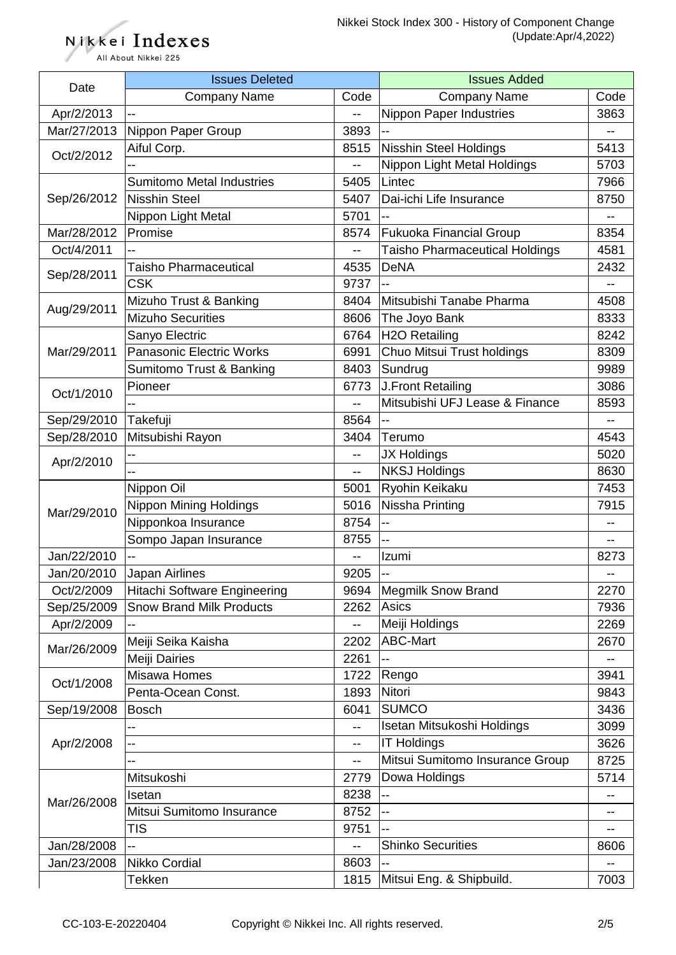All About Nikkei 225

Nikkei Indexes

| Date        | <b>Issues Deleted</b>               |      | <b>Issues Added</b>                   |      |
|-------------|-------------------------------------|------|---------------------------------------|------|
|             | <b>Company Name</b>                 | Code | <b>Company Name</b>                   | Code |
| Apr/2/2013  |                                     | $-$  | Nippon Paper Industries               | 3863 |
| Mar/27/2013 | Nippon Paper Group                  | 3893 | $\overline{\phantom{a}}$              | --   |
|             | Aiful Corp.                         | 8515 | <b>Nisshin Steel Holdings</b>         | 5413 |
| Oct/2/2012  |                                     | $-$  | Nippon Light Metal Holdings           | 5703 |
|             | <b>Sumitomo Metal Industries</b>    | 5405 | Lintec                                | 7966 |
| Sep/26/2012 | <b>Nisshin Steel</b>                | 5407 | Dai-ichi Life Insurance               | 8750 |
|             | Nippon Light Metal                  | 5701 | $\overline{\phantom{a}}$              |      |
| Mar/28/2012 | Promise                             | 8574 | <b>Fukuoka Financial Group</b>        | 8354 |
| Oct/4/2011  |                                     | $-$  | <b>Taisho Pharmaceutical Holdings</b> | 4581 |
|             | <b>Taisho Pharmaceutical</b>        | 4535 | <b>DeNA</b>                           | 2432 |
| Sep/28/2011 | <b>CSK</b>                          | 9737 | --                                    |      |
|             | Mizuho Trust & Banking              | 8404 | Mitsubishi Tanabe Pharma              | 4508 |
| Aug/29/2011 | <b>Mizuho Securities</b>            | 8606 | The Joyo Bank                         | 8333 |
|             | Sanyo Electric                      | 6764 | <b>H2O Retailing</b>                  | 8242 |
| Mar/29/2011 | <b>Panasonic Electric Works</b>     | 6991 | Chuo Mitsui Trust holdings            | 8309 |
|             |                                     |      |                                       |      |
|             | Sumitomo Trust & Banking            | 8403 | Sundrug                               | 9989 |
| Oct/1/2010  | Pioneer                             | 6773 | J.Front Retailing                     | 3086 |
|             |                                     | $-$  | Mitsubishi UFJ Lease & Finance        | 8593 |
| Sep/29/2010 | Takefuji                            | 8564 |                                       |      |
| Sep/28/2010 | Mitsubishi Rayon                    | 3404 | Terumo                                | 4543 |
| Apr/2/2010  |                                     | --   | <b>JX Holdings</b>                    | 5020 |
|             |                                     | $-$  | <b>NKSJ Holdings</b>                  | 8630 |
|             | Nippon Oil                          | 5001 | Ryohin Keikaku                        | 7453 |
| Mar/29/2010 | <b>Nippon Mining Holdings</b>       | 5016 | Nissha Printing                       | 7915 |
|             | Nipponkoa Insurance                 | 8754 | --                                    |      |
|             | Sompo Japan Insurance               | 8755 | $\overline{\phantom{a}}$              | --   |
| Jan/22/2010 |                                     |      | Izumi                                 | 8273 |
| Jan/20/2010 | Japan Airlines                      | 9205 | $-$                                   |      |
| Oct/2/2009  | <b>Hitachi Software Engineering</b> | 9694 | <b>Megmilk Snow Brand</b>             | 2270 |
| Sep/25/2009 | <b>Snow Brand Milk Products</b>     | 2262 | Asics                                 | 7936 |
| Apr/2/2009  |                                     | $-$  | Meiji Holdings                        | 2269 |
| Mar/26/2009 | Meiji Seika Kaisha                  | 2202 | <b>ABC-Mart</b>                       | 2670 |
|             | Meiji Dairies                       | 2261 | --                                    |      |
|             | Misawa Homes                        | 1722 | Rengo                                 | 3941 |
| Oct/1/2008  | Penta-Ocean Const.                  | 1893 | Nitori                                | 9843 |
| Sep/19/2008 | <b>Bosch</b>                        | 6041 | <b>SUMCO</b>                          | 3436 |
| Apr/2/2008  |                                     | $-$  | Isetan Mitsukoshi Holdings            | 3099 |
|             | --                                  | --   | <b>IT Holdings</b>                    | 3626 |
|             |                                     | --   | Mitsui Sumitomo Insurance Group       | 8725 |
| Mar/26/2008 | Mitsukoshi                          | 2779 | Dowa Holdings                         | 5714 |
|             | Isetan                              | 8238 |                                       |      |
|             | Mitsui Sumitomo Insurance           | 8752 | $-$                                   |      |
|             | <b>TIS</b>                          | 9751 |                                       |      |
| Jan/28/2008 | --                                  |      | <b>Shinko Securities</b>              | 8606 |
| Jan/23/2008 | Nikko Cordial                       | 8603 |                                       |      |
|             | Tekken                              | 1815 | Mitsui Eng. & Shipbuild.              | 7003 |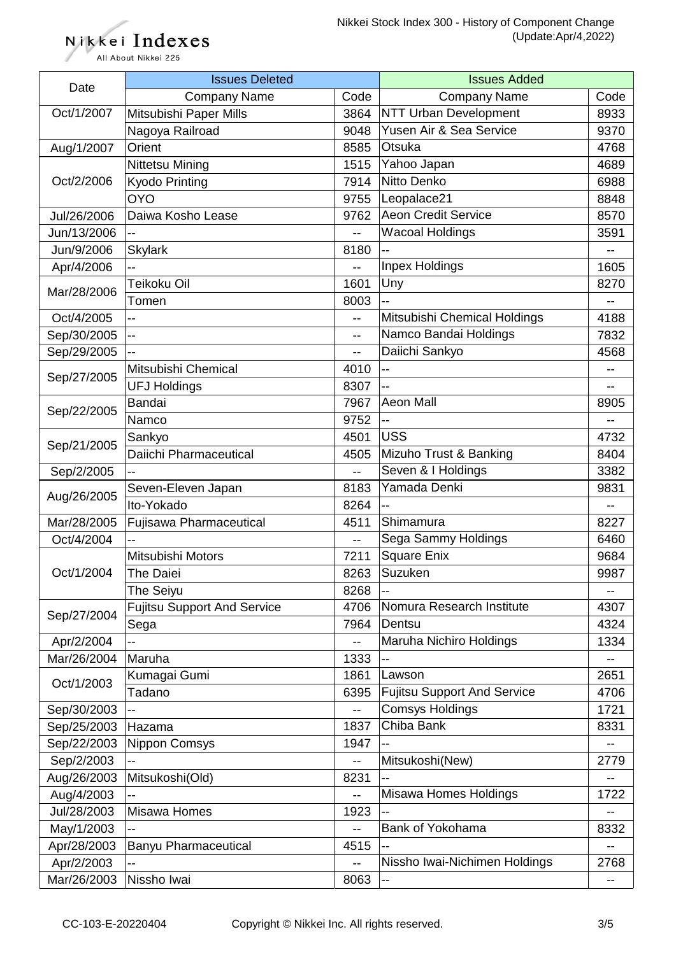Nikkei Indexes All About Nikkei 225

| Date        | <b>Issues Deleted</b>              |                          | <b>Issues Added</b>                |                |
|-------------|------------------------------------|--------------------------|------------------------------------|----------------|
|             | <b>Company Name</b>                | Code                     | <b>Company Name</b>                | Code           |
| Oct/1/2007  | Mitsubishi Paper Mills             | 3864                     | <b>NTT Urban Development</b>       | 8933           |
|             | Nagoya Railroad                    | 9048                     | Yusen Air & Sea Service            | 9370           |
| Aug/1/2007  | Orient                             | 8585                     | Otsuka                             | 4768           |
|             | <b>Nittetsu Mining</b>             | 1515                     | Yahoo Japan                        | 4689           |
| Oct/2/2006  | Kyodo Printing                     | 7914                     | Nitto Denko                        | 6988           |
|             | <b>OYO</b>                         | 9755                     | Leopalace21                        | 8848           |
| Jul/26/2006 | Daiwa Kosho Lease                  | 9762                     | <b>Aeon Credit Service</b>         | 8570           |
| Jun/13/2006 |                                    | --                       | <b>Wacoal Holdings</b>             | 3591           |
| Jun/9/2006  | <b>Skylark</b>                     | 8180                     |                                    |                |
| Apr/4/2006  | $\overline{a}$                     | --                       | Inpex Holdings                     | 1605           |
| Mar/28/2006 | Teikoku Oil                        | 1601                     | Uny                                | 8270           |
|             | Tomen                              | 8003                     | --                                 | $-$            |
| Oct/4/2005  | н.                                 | $-$                      | Mitsubishi Chemical Holdings       | 4188           |
| Sep/30/2005 | -−                                 | $-$                      | Namco Bandai Holdings              | 7832           |
| Sep/29/2005 |                                    | --                       | Daiichi Sankyo                     | 4568           |
|             | Mitsubishi Chemical                | 4010                     | <u></u>                            | $-$            |
| Sep/27/2005 | <b>UFJ Holdings</b>                | 8307                     | --                                 |                |
|             | Bandai                             | 7967                     | <b>Aeon Mall</b>                   | 8905           |
| Sep/22/2005 | Namco                              | 9752                     |                                    |                |
|             | Sankyo                             | 4501                     | <b>USS</b>                         | 4732           |
| Sep/21/2005 | Daiichi Pharmaceutical             | 4505                     | Mizuho Trust & Banking             | 8404           |
| Sep/2/2005  |                                    | $-$                      | Seven & I Holdings                 | 3382           |
|             | Seven-Eleven Japan                 | 8183                     | Yamada Denki                       | 9831           |
| Aug/26/2005 | Ito-Yokado                         | 8264                     |                                    | $\overline{a}$ |
| Mar/28/2005 | <b>Fujisawa Pharmaceutical</b>     | 4511                     | Shimamura                          | 8227           |
| Oct/4/2004  |                                    | $\overline{\phantom{a}}$ | Sega Sammy Holdings                | 6460           |
|             | Mitsubishi Motors                  | 7211                     | <b>Square Enix</b>                 | 9684           |
| Oct/1/2004  | The Daiei                          | 8263                     | Suzuken                            | 9987           |
|             | The Seiyu                          | 8268                     | $-$                                |                |
| Sep/27/2004 | <b>Fujitsu Support And Service</b> | 4706                     | Nomura Research Institute          | 4307           |
|             | Sega                               | 7964                     | Dentsu                             | 4324           |
| Apr/2/2004  |                                    | $-$                      | Maruha Nichiro Holdings            | 1334           |
| Mar/26/2004 | Maruha                             | 1333                     |                                    |                |
| Oct/1/2003  | Kumagai Gumi                       | 1861                     | Lawson                             | 2651           |
|             | Tadano                             | 6395                     | <b>Fujitsu Support And Service</b> | 4706           |
| Sep/30/2003 |                                    | --                       | <b>Comsys Holdings</b>             | 1721           |
| Sep/25/2003 | Hazama                             | 1837                     | Chiba Bank                         | 8331           |
| Sep/22/2003 | <b>Nippon Comsys</b>               | 1947                     |                                    |                |
| Sep/2/2003  |                                    |                          | Mitsukoshi(New)                    | 2779           |
| Aug/26/2003 | Mitsukoshi(Old)                    | 8231                     | --                                 |                |
| Aug/4/2003  |                                    | --                       | Misawa Homes Holdings              | 1722           |
| Jul/28/2003 | Misawa Homes                       | 1923                     |                                    |                |
| May/1/2003  |                                    |                          | Bank of Yokohama                   | 8332           |
| Apr/28/2003 | <b>Banyu Pharmaceutical</b>        | 4515                     |                                    |                |
| Apr/2/2003  |                                    |                          | Nissho Iwai-Nichimen Holdings      | 2768           |
| Mar/26/2003 | Nissho Iwai                        | 8063                     |                                    |                |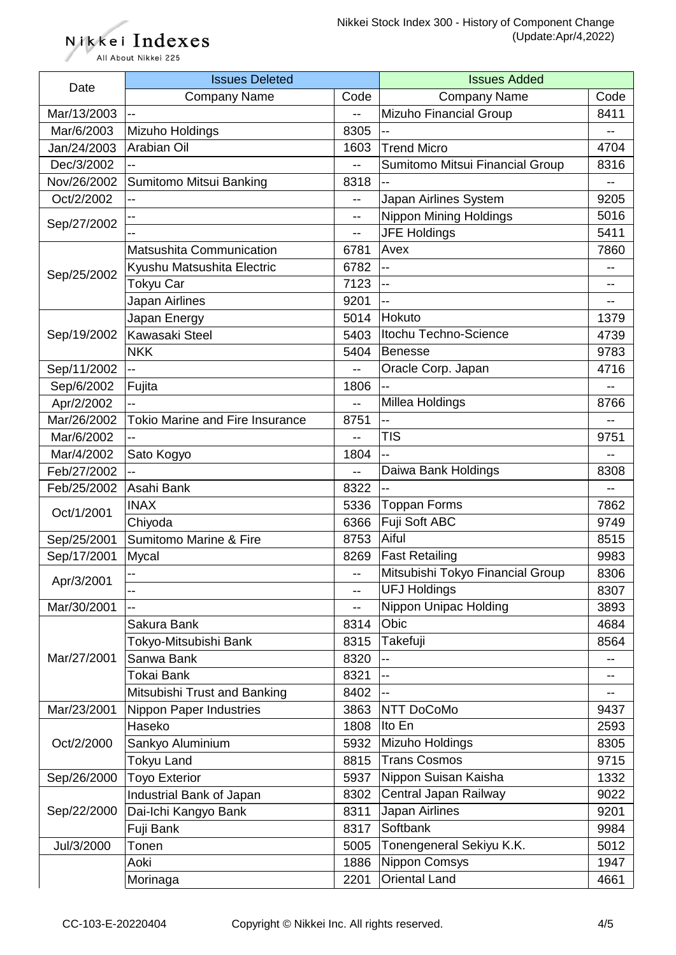Nikkei Indexes All About Nikkei 225

| Date        | <b>Issues Deleted</b>                  |                          | <b>Issues Added</b>              |      |
|-------------|----------------------------------------|--------------------------|----------------------------------|------|
|             | <b>Company Name</b>                    | Code                     | <b>Company Name</b>              | Code |
| Mar/13/2003 |                                        | --                       | Mizuho Financial Group           | 8411 |
| Mar/6/2003  | Mizuho Holdings                        | 8305                     | --                               | --   |
| Jan/24/2003 | Arabian Oil                            | 1603                     | <b>Trend Micro</b>               | 4704 |
| Dec/3/2002  |                                        | $-$                      | Sumitomo Mitsui Financial Group  | 8316 |
| Nov/26/2002 | Sumitomo Mitsui Banking                | 8318                     |                                  |      |
| Oct/2/2002  | --                                     | --                       | Japan Airlines System            | 9205 |
|             |                                        | --                       | <b>Nippon Mining Holdings</b>    | 5016 |
| Sep/27/2002 |                                        | --                       | <b>JFE Holdings</b>              | 5411 |
|             | Matsushita Communication               | 6781                     | Avex                             | 7860 |
|             | Kyushu Matsushita Electric             | 6782                     | $\overline{a}$                   |      |
| Sep/25/2002 | Tokyu Car                              | 7123                     | $\overline{a}$                   |      |
|             | Japan Airlines                         | 9201                     | --                               |      |
|             | Japan Energy                           | 5014                     | Hokuto                           | 1379 |
| Sep/19/2002 | Kawasaki Steel                         | 5403                     | Itochu Techno-Science            | 4739 |
|             | <b>NKK</b>                             | 5404                     | <b>Benesse</b>                   | 9783 |
| Sep/11/2002 | --                                     | $-$                      | Oracle Corp. Japan               | 4716 |
| Sep/6/2002  | Fujita                                 | 1806                     | --                               |      |
| Apr/2/2002  | $\overline{a}$                         | $\overline{\phantom{a}}$ | Millea Holdings                  | 8766 |
| Mar/26/2002 | <b>Tokio Marine and Fire Insurance</b> | 8751                     |                                  |      |
| Mar/6/2002  |                                        | $\overline{\phantom{a}}$ | <b>TIS</b>                       | 9751 |
| Mar/4/2002  | Sato Kogyo                             | 1804                     |                                  |      |
| Feb/27/2002 |                                        | $-$                      | Daiwa Bank Holdings              | 8308 |
| Feb/25/2002 | Asahi Bank                             | 8322                     |                                  |      |
|             | <b>INAX</b>                            | 5336                     | <b>Toppan Forms</b>              | 7862 |
| Oct/1/2001  | Chiyoda                                | 6366                     | Fuji Soft ABC                    | 9749 |
| Sep/25/2001 | <b>Sumitomo Marine &amp; Fire</b>      | 8753                     | Aiful                            | 8515 |
| Sep/17/2001 | Mycal                                  | 8269                     | <b>Fast Retailing</b>            | 9983 |
| Apr/3/2001  |                                        | $-$                      | Mitsubishi Tokyo Financial Group | 8306 |
|             |                                        | $- -$                    | <b>UFJ Holdings</b>              | 8307 |
| Mar/30/2001 |                                        | --                       | Nippon Unipac Holding            | 3893 |
|             | Sakura Bank                            | 8314                     | Obic                             | 4684 |
|             | Tokyo-Mitsubishi Bank                  | 8315                     | Takefuji                         | 8564 |
| Mar/27/2001 | Sanwa Bank                             | 8320                     |                                  |      |
|             | Tokai Bank                             | 8321                     | $\overline{a}$                   |      |
|             | Mitsubishi Trust and Banking           | 8402                     | $-$                              |      |
| Mar/23/2001 | Nippon Paper Industries                | 3863                     | NTT DoCoMo                       | 9437 |
| Oct/2/2000  | Haseko                                 | 1808                     | Ito En                           | 2593 |
|             | Sankyo Aluminium                       | 5932                     | Mizuho Holdings                  | 8305 |
|             | <b>Tokyu Land</b>                      | 8815                     | <b>Trans Cosmos</b>              | 9715 |
| Sep/26/2000 | <b>Toyo Exterior</b>                   | 5937                     | Nippon Suisan Kaisha             | 1332 |
|             | Industrial Bank of Japan               | 8302                     | Central Japan Railway            | 9022 |
| Sep/22/2000 | Dai-Ichi Kangyo Bank                   | 8311                     | Japan Airlines                   | 9201 |
|             | Fuji Bank                              | 8317                     | Softbank                         | 9984 |
| Jul/3/2000  | Tonen                                  | 5005                     | Tonengeneral Sekiyu K.K.         | 5012 |
|             | Aoki                                   | 1886                     | <b>Nippon Comsys</b>             | 1947 |
|             | Morinaga                               | 2201                     | <b>Oriental Land</b>             | 4661 |